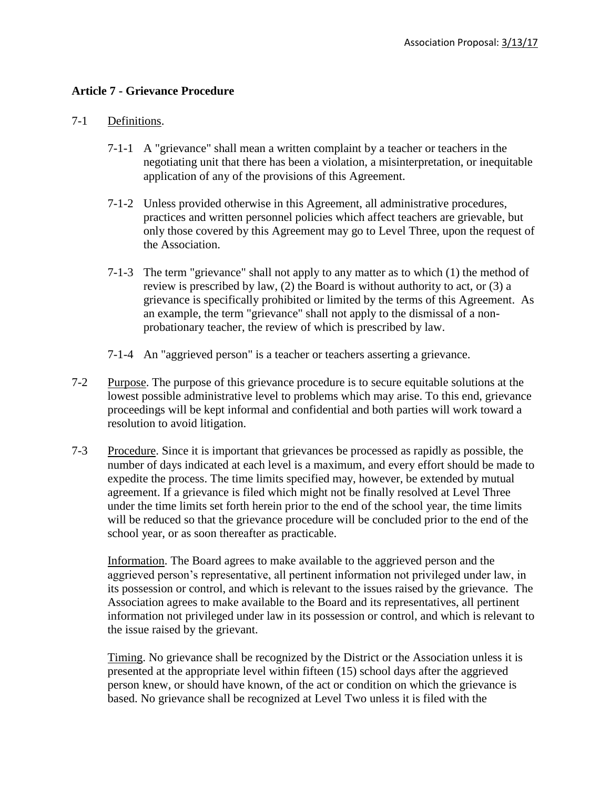## **Article 7 - Grievance Procedure**

## 7-1 Definitions.

- 7-1-1 A "grievance" shall mean a written complaint by a teacher or teachers in the negotiating unit that there has been a violation, a misinterpretation, or inequitable application of any of the provisions of this Agreement.
- 7-1-2 Unless provided otherwise in this Agreement, all administrative procedures, practices and written personnel policies which affect teachers are grievable, but only those covered by this Agreement may go to Level Three, upon the request of the Association.
- 7-1-3 The term "grievance" shall not apply to any matter as to which (1) the method of review is prescribed by law, (2) the Board is without authority to act, or (3) a grievance is specifically prohibited or limited by the terms of this Agreement. As an example, the term "grievance" shall not apply to the dismissal of a nonprobationary teacher, the review of which is prescribed by law.
- 7-1-4 An "aggrieved person" is a teacher or teachers asserting a grievance.
- 7-2 Purpose. The purpose of this grievance procedure is to secure equitable solutions at the lowest possible administrative level to problems which may arise. To this end, grievance proceedings will be kept informal and confidential and both parties will work toward a resolution to avoid litigation.
- 7-3 Procedure. Since it is important that grievances be processed as rapidly as possible, the number of days indicated at each level is a maximum, and every effort should be made to expedite the process. The time limits specified may, however, be extended by mutual agreement. If a grievance is filed which might not be finally resolved at Level Three under the time limits set forth herein prior to the end of the school year, the time limits will be reduced so that the grievance procedure will be concluded prior to the end of the school year, or as soon thereafter as practicable.

Information. The Board agrees to make available to the aggrieved person and the aggrieved person's representative, all pertinent information not privileged under law, in its possession or control, and which is relevant to the issues raised by the grievance. The Association agrees to make available to the Board and its representatives, all pertinent information not privileged under law in its possession or control, and which is relevant to the issue raised by the grievant.

Timing. No grievance shall be recognized by the District or the Association unless it is presented at the appropriate level within fifteen (15) school days after the aggrieved person knew, or should have known, of the act or condition on which the grievance is based. No grievance shall be recognized at Level Two unless it is filed with the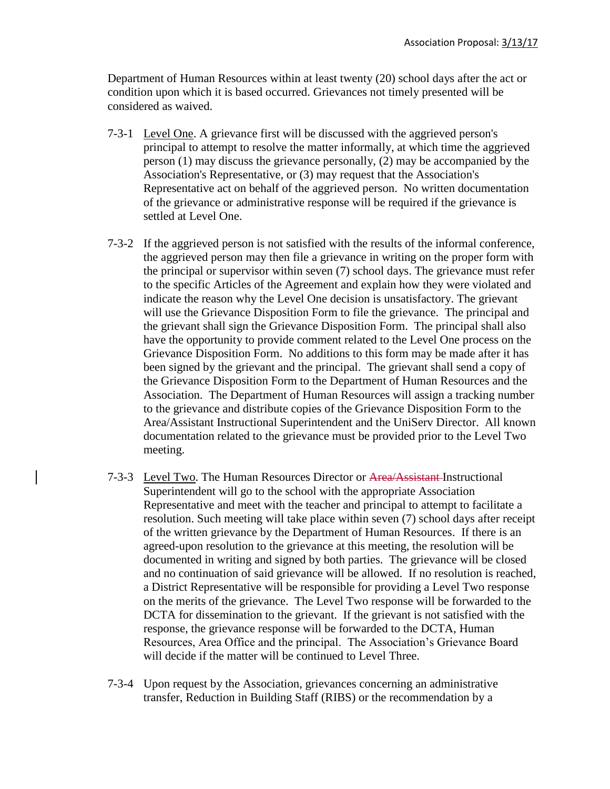Department of Human Resources within at least twenty (20) school days after the act or condition upon which it is based occurred. Grievances not timely presented will be considered as waived.

- 7-3-1 Level One. A grievance first will be discussed with the aggrieved person's principal to attempt to resolve the matter informally, at which time the aggrieved person (1) may discuss the grievance personally, (2) may be accompanied by the Association's Representative, or (3) may request that the Association's Representative act on behalf of the aggrieved person. No written documentation of the grievance or administrative response will be required if the grievance is settled at Level One.
- 7-3-2 If the aggrieved person is not satisfied with the results of the informal conference, the aggrieved person may then file a grievance in writing on the proper form with the principal or supervisor within seven (7) school days. The grievance must refer to the specific Articles of the Agreement and explain how they were violated and indicate the reason why the Level One decision is unsatisfactory. The grievant will use the Grievance Disposition Form to file the grievance. The principal and the grievant shall sign the Grievance Disposition Form. The principal shall also have the opportunity to provide comment related to the Level One process on the Grievance Disposition Form. No additions to this form may be made after it has been signed by the grievant and the principal. The grievant shall send a copy of the Grievance Disposition Form to the Department of Human Resources and the Association. The Department of Human Resources will assign a tracking number to the grievance and distribute copies of the Grievance Disposition Form to the Area/Assistant Instructional Superintendent and the UniServ Director. All known documentation related to the grievance must be provided prior to the Level Two meeting.
- 7-3-3 Level Two. The Human Resources Director or Area/Assistant Instructional Superintendent will go to the school with the appropriate Association Representative and meet with the teacher and principal to attempt to facilitate a resolution. Such meeting will take place within seven (7) school days after receipt of the written grievance by the Department of Human Resources. If there is an agreed-upon resolution to the grievance at this meeting, the resolution will be documented in writing and signed by both parties. The grievance will be closed and no continuation of said grievance will be allowed. If no resolution is reached, a District Representative will be responsible for providing a Level Two response on the merits of the grievance. The Level Two response will be forwarded to the DCTA for dissemination to the grievant. If the grievant is not satisfied with the response, the grievance response will be forwarded to the DCTA, Human Resources, Area Office and the principal. The Association's Grievance Board will decide if the matter will be continued to Level Three.
- 7-3-4 Upon request by the Association, grievances concerning an administrative transfer, Reduction in Building Staff (RIBS) or the recommendation by a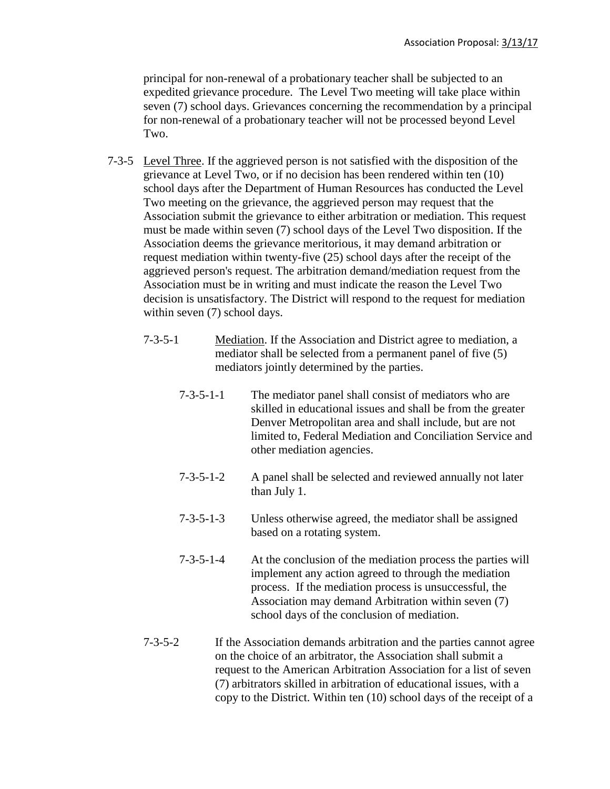principal for non-renewal of a probationary teacher shall be subjected to an expedited grievance procedure. The Level Two meeting will take place within seven (7) school days. Grievances concerning the recommendation by a principal for non-renewal of a probationary teacher will not be processed beyond Level Two.

- 7-3-5 Level Three. If the aggrieved person is not satisfied with the disposition of the grievance at Level Two, or if no decision has been rendered within ten (10) school days after the Department of Human Resources has conducted the Level Two meeting on the grievance, the aggrieved person may request that the Association submit the grievance to either arbitration or mediation. This request must be made within seven (7) school days of the Level Two disposition. If the Association deems the grievance meritorious, it may demand arbitration or request mediation within twenty-five (25) school days after the receipt of the aggrieved person's request. The arbitration demand/mediation request from the Association must be in writing and must indicate the reason the Level Two decision is unsatisfactory. The District will respond to the request for mediation within seven (7) school days.
	- 7-3-5-1 Mediation. If the Association and District agree to mediation, a mediator shall be selected from a permanent panel of five (5) mediators jointly determined by the parties.
		- 7-3-5-1-1 The mediator panel shall consist of mediators who are skilled in educational issues and shall be from the greater Denver Metropolitan area and shall include, but are not limited to, Federal Mediation and Conciliation Service and other mediation agencies.
		- 7-3-5-1-2 A panel shall be selected and reviewed annually not later than July 1.
		- 7-3-5-1-3 Unless otherwise agreed, the mediator shall be assigned based on a rotating system.
		- 7-3-5-1-4 At the conclusion of the mediation process the parties will implement any action agreed to through the mediation process. If the mediation process is unsuccessful, the Association may demand Arbitration within seven (7) school days of the conclusion of mediation.
	- 7-3-5-2 If the Association demands arbitration and the parties cannot agree on the choice of an arbitrator, the Association shall submit a request to the American Arbitration Association for a list of seven (7) arbitrators skilled in arbitration of educational issues, with a copy to the District. Within ten (10) school days of the receipt of a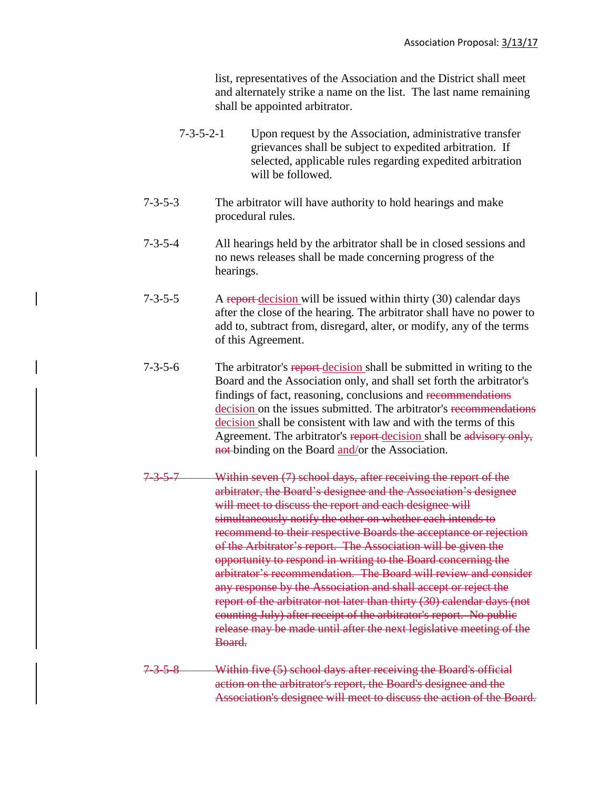list, representatives of the Association and the District shall meet and alternately strike a name on the list. The last name remaining shall be appointed arbitrator.

- 7-3-5-2-1 Upon request by the Association, administrative transfer grievances shall be subject to expedited arbitration. If selected, applicable rules regarding expedited arbitration will be followed.
- 7-3-5-3 The arbitrator will have authority to hold hearings and make procedural rules.
- 7-3-5-4 All hearings held by the arbitrator shall be in closed sessions and no news releases shall be made concerning progress of the hearings.
- 7-3-5-5 A report-decision will be issued within thirty (30) calendar days after the close of the hearing. The arbitrator shall have no power to add to, subtract from, disregard, alter, or modify, any of the terms of this Agreement.
- 7-3-5-6 The arbitrator's report decision shall be submitted in writing to the Board and the Association only, and shall set forth the arbitrator's findings of fact, reasoning, conclusions and recommendations decision on the issues submitted. The arbitrator's recommendations decision shall be consistent with law and with the terms of this Agreement. The arbitrator's report-decision shall be advisory only, not-binding on the Board and/or the Association.
- 7-3-5-7 Within seven (7) school days, after receiving the report of the arbitrator, the Board's designee and the Association's designee will meet to discuss the report and each designee will simultaneously notify the other on whether each intends to recommend to their respective Boards the acceptance or rejection of the Arbitrator's report. The Association will be given the opportunity to respond in writing to the Board concerning the arbitrator's recommendation. The Board will review and consider any response by the Association and shall accept or reject the report of the arbitrator not later than thirty (30) calendar days (not counting July) after receipt of the arbitrator's report. No public release may be made until after the next legislative meeting of the Board.
- 7-3-5-8 Within five (5) school days after receiving the Board's official action on the arbitrator's report, the Board's designee and the Association's designee will meet to discuss the action of the Board.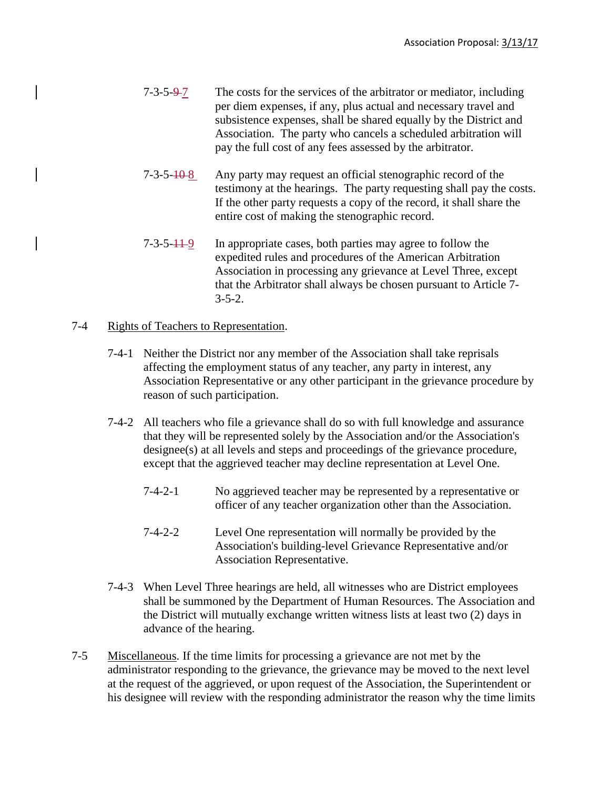- $7-3-5-9-7$  The costs for the services of the arbitrator or mediator, including per diem expenses, if any, plus actual and necessary travel and subsistence expenses, shall be shared equally by the District and Association. The party who cancels a scheduled arbitration will pay the full cost of any fees assessed by the arbitrator.
- $7-3-5-10-8$  Any party may request an official stenographic record of the testimony at the hearings. The party requesting shall pay the costs. If the other party requests a copy of the record, it shall share the entire cost of making the stenographic record.
- 7-3-5-11-9 In appropriate cases, both parties may agree to follow the expedited rules and procedures of the American Arbitration Association in processing any grievance at Level Three, except that the Arbitrator shall always be chosen pursuant to Article 7-  $3 - 5 - 2$ .

## 7-4 Rights of Teachers to Representation.

- 7-4-1 Neither the District nor any member of the Association shall take reprisals affecting the employment status of any teacher, any party in interest, any Association Representative or any other participant in the grievance procedure by reason of such participation.
- 7-4-2 All teachers who file a grievance shall do so with full knowledge and assurance that they will be represented solely by the Association and/or the Association's designee(s) at all levels and steps and proceedings of the grievance procedure, except that the aggrieved teacher may decline representation at Level One.
	- 7-4-2-1 No aggrieved teacher may be represented by a representative or officer of any teacher organization other than the Association.
	- 7-4-2-2 Level One representation will normally be provided by the Association's building-level Grievance Representative and/or Association Representative.
- 7-4-3 When Level Three hearings are held, all witnesses who are District employees shall be summoned by the Department of Human Resources. The Association and the District will mutually exchange written witness lists at least two (2) days in advance of the hearing.
- 7-5 Miscellaneous. If the time limits for processing a grievance are not met by the administrator responding to the grievance, the grievance may be moved to the next level at the request of the aggrieved, or upon request of the Association, the Superintendent or his designee will review with the responding administrator the reason why the time limits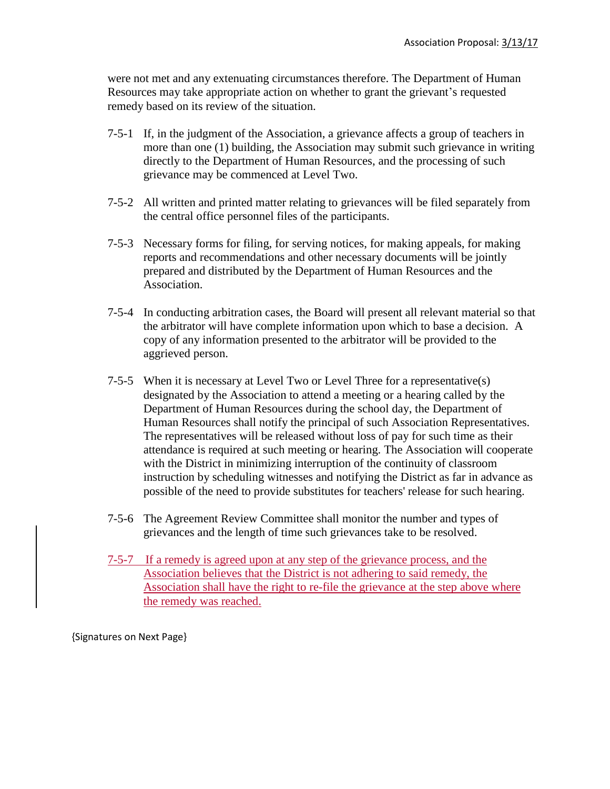were not met and any extenuating circumstances therefore. The Department of Human Resources may take appropriate action on whether to grant the grievant's requested remedy based on its review of the situation.

- 7-5-1 If, in the judgment of the Association, a grievance affects a group of teachers in more than one (1) building, the Association may submit such grievance in writing directly to the Department of Human Resources, and the processing of such grievance may be commenced at Level Two.
- 7-5-2 All written and printed matter relating to grievances will be filed separately from the central office personnel files of the participants.
- 7-5-3 Necessary forms for filing, for serving notices, for making appeals, for making reports and recommendations and other necessary documents will be jointly prepared and distributed by the Department of Human Resources and the Association.
- 7-5-4 In conducting arbitration cases, the Board will present all relevant material so that the arbitrator will have complete information upon which to base a decision. A copy of any information presented to the arbitrator will be provided to the aggrieved person.
- 7-5-5 When it is necessary at Level Two or Level Three for a representative(s) designated by the Association to attend a meeting or a hearing called by the Department of Human Resources during the school day, the Department of Human Resources shall notify the principal of such Association Representatives. The representatives will be released without loss of pay for such time as their attendance is required at such meeting or hearing. The Association will cooperate with the District in minimizing interruption of the continuity of classroom instruction by scheduling witnesses and notifying the District as far in advance as possible of the need to provide substitutes for teachers' release for such hearing.
- 7-5-6 The Agreement Review Committee shall monitor the number and types of grievances and the length of time such grievances take to be resolved.
- 7-5-7 If a remedy is agreed upon at any step of the grievance process, and the Association believes that the District is not adhering to said remedy, the Association shall have the right to re-file the grievance at the step above where the remedy was reached.

{Signatures on Next Page}